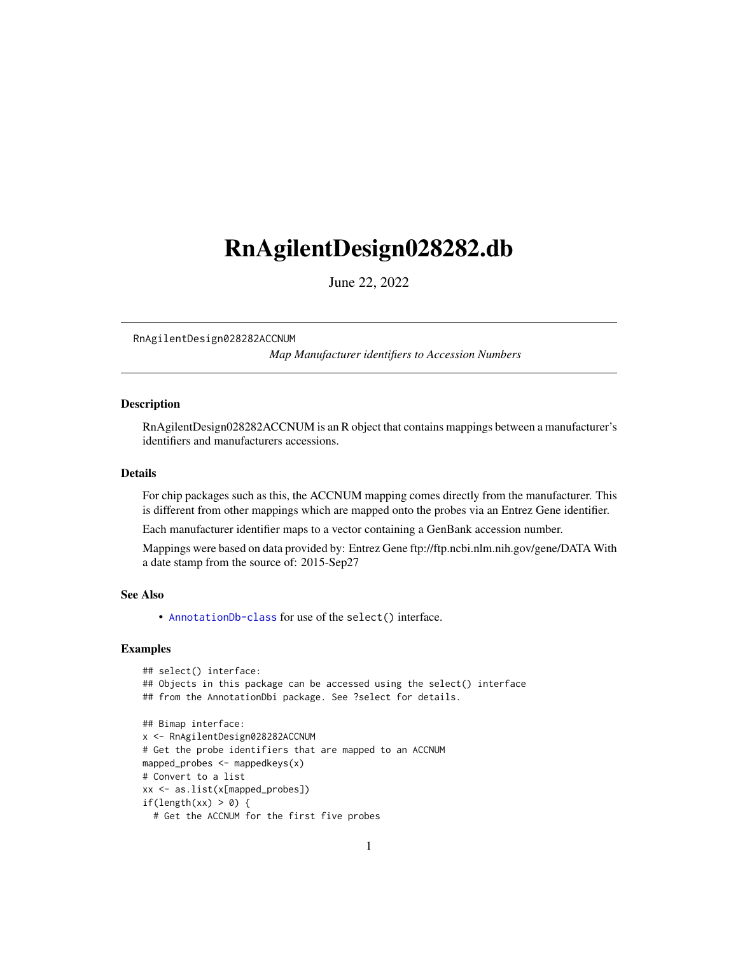# <span id="page-0-1"></span><span id="page-0-0"></span>RnAgilentDesign028282.db

June 22, 2022

RnAgilentDesign028282ACCNUM

*Map Manufacturer identifiers to Accession Numbers*

## **Description**

RnAgilentDesign028282ACCNUM is an R object that contains mappings between a manufacturer's identifiers and manufacturers accessions.

#### Details

For chip packages such as this, the ACCNUM mapping comes directly from the manufacturer. This is different from other mappings which are mapped onto the probes via an Entrez Gene identifier.

Each manufacturer identifier maps to a vector containing a GenBank accession number.

Mappings were based on data provided by: Entrez Gene ftp://ftp.ncbi.nlm.nih.gov/gene/DATA With a date stamp from the source of: 2015-Sep27

## See Also

• AnnotationDb-class for use of the select() interface.

```
## select() interface:
## Objects in this package can be accessed using the select() interface
## from the AnnotationDbi package. See ?select for details.
## Bimap interface:
x <- RnAgilentDesign028282ACCNUM
# Get the probe identifiers that are mapped to an ACCNUM
mapped_probes <- mappedkeys(x)
# Convert to a list
xx <- as.list(x[mapped_probes])
if(length(xx) > 0) {
  # Get the ACCNUM for the first five probes
```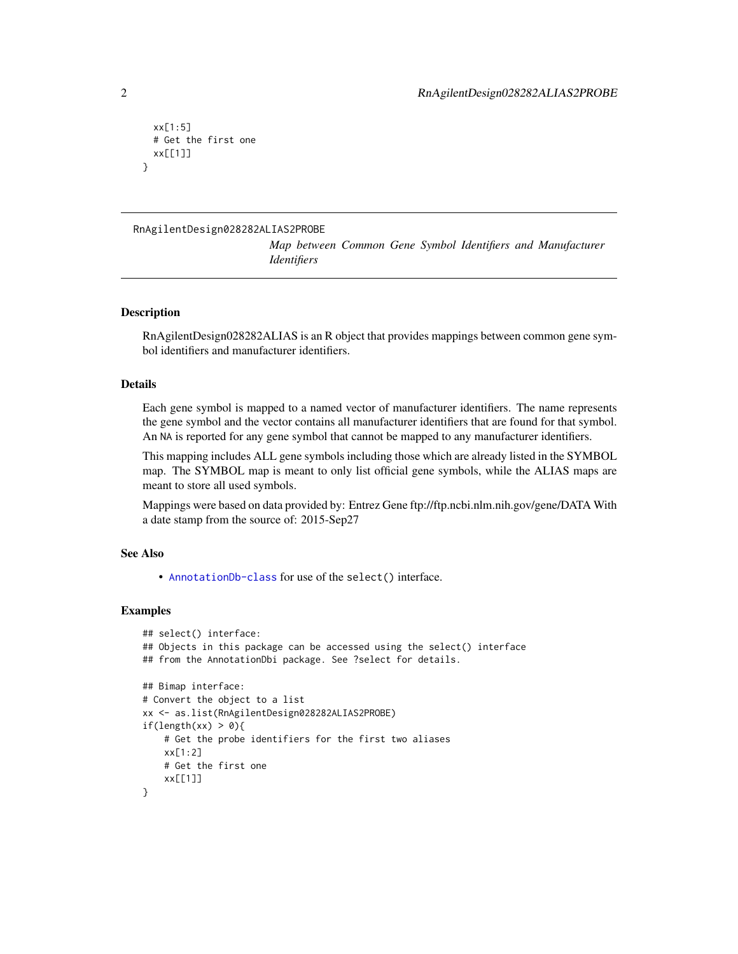```
xx[1:5]
 # Get the first one
 xx[[1]]
}
```
## RnAgilentDesign028282ALIAS2PROBE

*Map between Common Gene Symbol Identifiers and Manufacturer Identifiers*

## **Description**

RnAgilentDesign028282ALIAS is an R object that provides mappings between common gene symbol identifiers and manufacturer identifiers.

#### Details

Each gene symbol is mapped to a named vector of manufacturer identifiers. The name represents the gene symbol and the vector contains all manufacturer identifiers that are found for that symbol. An NA is reported for any gene symbol that cannot be mapped to any manufacturer identifiers.

This mapping includes ALL gene symbols including those which are already listed in the SYMBOL map. The SYMBOL map is meant to only list official gene symbols, while the ALIAS maps are meant to store all used symbols.

Mappings were based on data provided by: Entrez Gene ftp://ftp.ncbi.nlm.nih.gov/gene/DATA With a date stamp from the source of: 2015-Sep27

## See Also

• [AnnotationDb-class](#page-0-0) for use of the select() interface.

```
## select() interface:
## Objects in this package can be accessed using the select() interface
## from the AnnotationDbi package. See ?select for details.
## Bimap interface:
# Convert the object to a list
xx <- as.list(RnAgilentDesign028282ALIAS2PROBE)
if(length(xx) > 0){
   # Get the probe identifiers for the first two aliases
   xx[1:2]
   # Get the first one
    xx[[1]]
}
```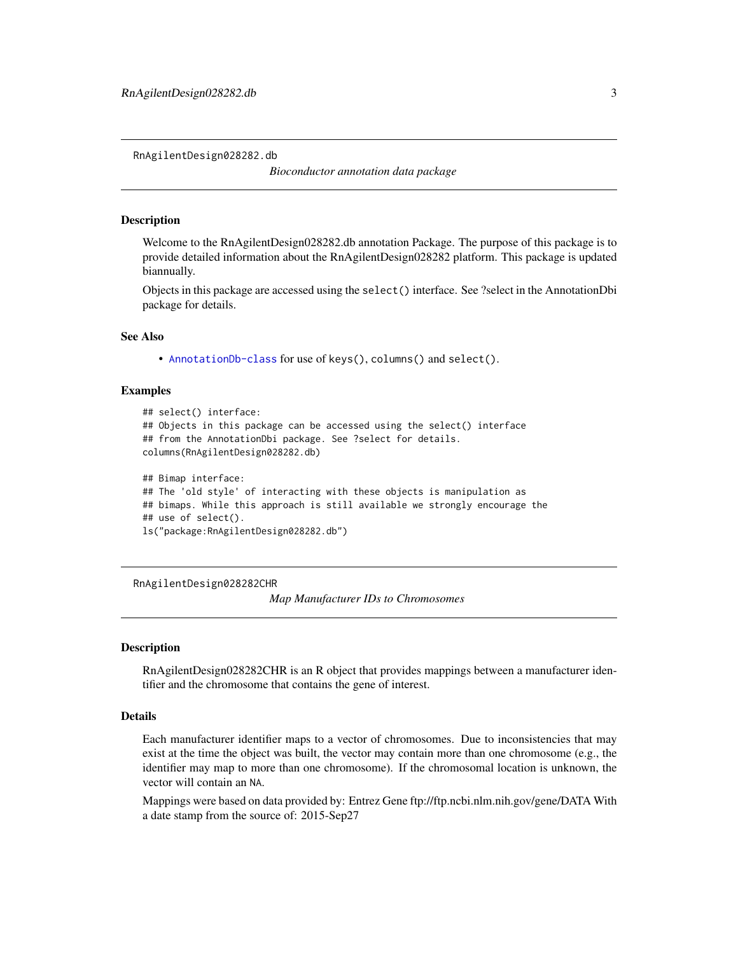<span id="page-2-0"></span>RnAgilentDesign028282.db

*Bioconductor annotation data package*

## **Description**

Welcome to the RnAgilentDesign028282.db annotation Package. The purpose of this package is to provide detailed information about the RnAgilentDesign028282 platform. This package is updated biannually.

Objects in this package are accessed using the select() interface. See ?select in the AnnotationDbi package for details.

## See Also

• [AnnotationDb-class](#page-0-0) for use of keys(), columns() and select().

#### Examples

```
## select() interface:
## Objects in this package can be accessed using the select() interface
## from the AnnotationDbi package. See ?select for details.
columns(RnAgilentDesign028282.db)
## Bimap interface:
## The 'old style' of interacting with these objects is manipulation as
## bimaps. While this approach is still available we strongly encourage the
## use of select().
```

```
ls("package:RnAgilentDesign028282.db")
```
RnAgilentDesign028282CHR

*Map Manufacturer IDs to Chromosomes*

#### Description

RnAgilentDesign028282CHR is an R object that provides mappings between a manufacturer identifier and the chromosome that contains the gene of interest.

## Details

Each manufacturer identifier maps to a vector of chromosomes. Due to inconsistencies that may exist at the time the object was built, the vector may contain more than one chromosome (e.g., the identifier may map to more than one chromosome). If the chromosomal location is unknown, the vector will contain an NA.

Mappings were based on data provided by: Entrez Gene ftp://ftp.ncbi.nlm.nih.gov/gene/DATA With a date stamp from the source of: 2015-Sep27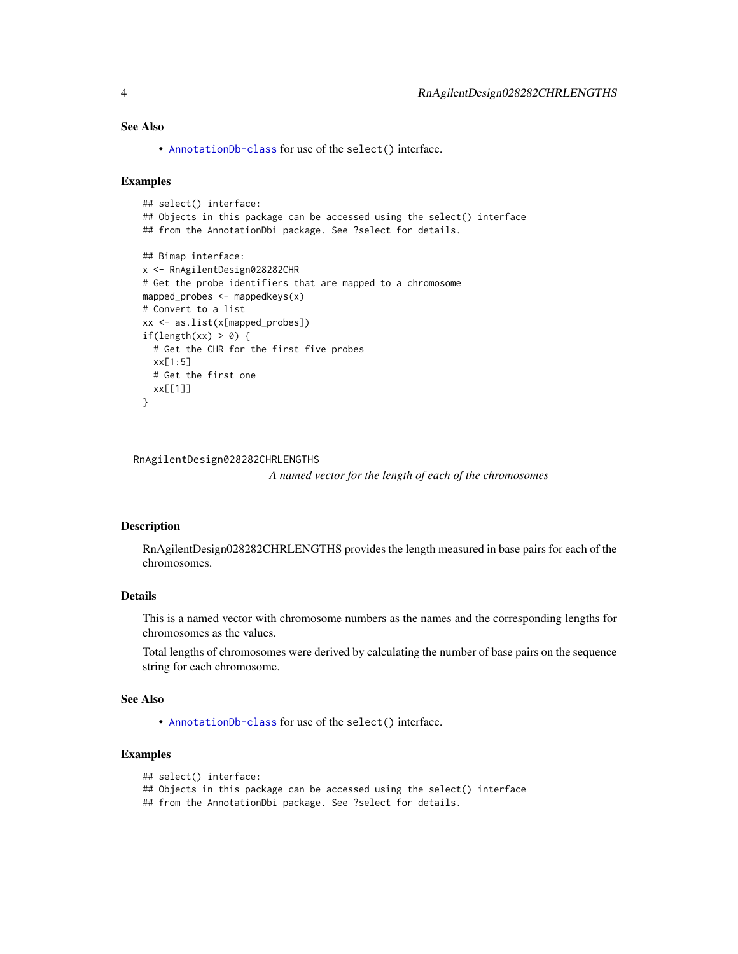# <span id="page-3-0"></span>See Also

• [AnnotationDb-class](#page-0-0) for use of the select() interface.

#### Examples

```
## select() interface:
## Objects in this package can be accessed using the select() interface
## from the AnnotationDbi package. See ?select for details.
## Bimap interface:
x <- RnAgilentDesign028282CHR
# Get the probe identifiers that are mapped to a chromosome
mapped_probes <- mappedkeys(x)
# Convert to a list
xx <- as.list(x[mapped_probes])
if(length(xx) > 0) {
  # Get the CHR for the first five probes
  xx[1:5]
  # Get the first one
  xx[[1]]
}
```
RnAgilentDesign028282CHRLENGTHS

*A named vector for the length of each of the chromosomes*

## Description

RnAgilentDesign028282CHRLENGTHS provides the length measured in base pairs for each of the chromosomes.

# Details

This is a named vector with chromosome numbers as the names and the corresponding lengths for chromosomes as the values.

Total lengths of chromosomes were derived by calculating the number of base pairs on the sequence string for each chromosome.

## See Also

• [AnnotationDb-class](#page-0-0) for use of the select() interface.

## Examples

```
## select() interface:
```

```
## Objects in this package can be accessed using the select() interface
```
## from the AnnotationDbi package. See ?select for details.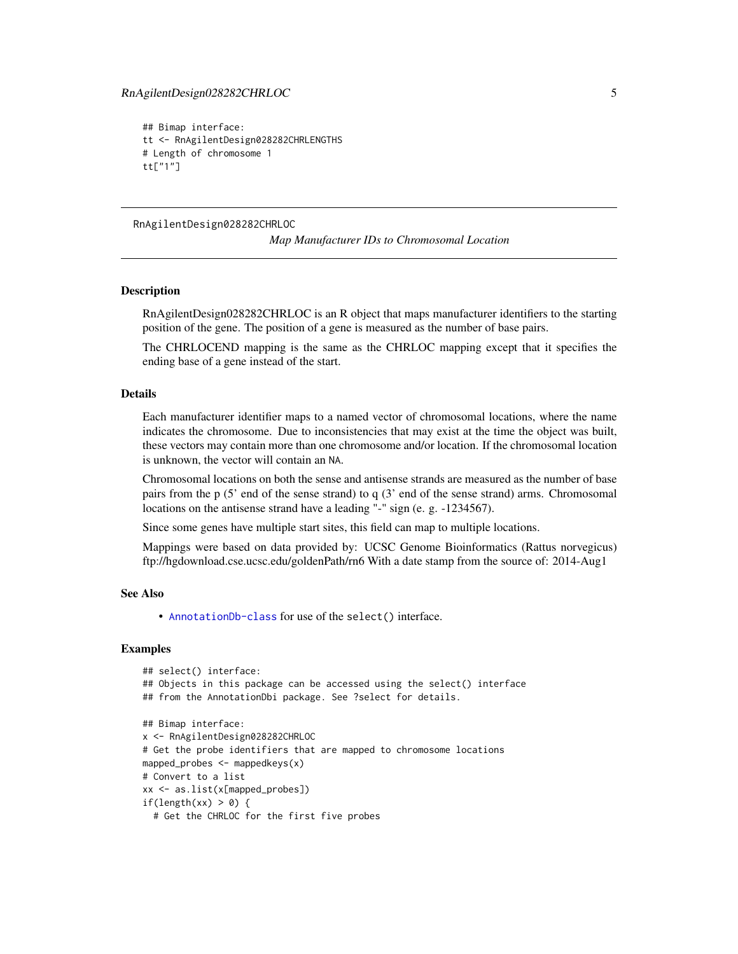## <span id="page-4-0"></span>RnAgilentDesign028282CHRLOC 5

```
## Bimap interface:
tt <- RnAgilentDesign028282CHRLENGTHS
# Length of chromosome 1
tt["1"]
```
RnAgilentDesign028282CHRLOC

*Map Manufacturer IDs to Chromosomal Location*

## **Description**

RnAgilentDesign028282CHRLOC is an R object that maps manufacturer identifiers to the starting position of the gene. The position of a gene is measured as the number of base pairs.

The CHRLOCEND mapping is the same as the CHRLOC mapping except that it specifies the ending base of a gene instead of the start.

## Details

Each manufacturer identifier maps to a named vector of chromosomal locations, where the name indicates the chromosome. Due to inconsistencies that may exist at the time the object was built, these vectors may contain more than one chromosome and/or location. If the chromosomal location is unknown, the vector will contain an NA.

Chromosomal locations on both the sense and antisense strands are measured as the number of base pairs from the p (5' end of the sense strand) to q (3' end of the sense strand) arms. Chromosomal locations on the antisense strand have a leading "-" sign (e. g. -1234567).

Since some genes have multiple start sites, this field can map to multiple locations.

Mappings were based on data provided by: UCSC Genome Bioinformatics (Rattus norvegicus) ftp://hgdownload.cse.ucsc.edu/goldenPath/rn6 With a date stamp from the source of: 2014-Aug1

#### See Also

• [AnnotationDb-class](#page-0-0) for use of the select() interface.

```
## select() interface:
## Objects in this package can be accessed using the select() interface
## from the AnnotationDbi package. See ?select for details.
## Bimap interface:
x <- RnAgilentDesign028282CHRLOC
# Get the probe identifiers that are mapped to chromosome locations
mapped_probes <- mappedkeys(x)
# Convert to a list
xx <- as.list(x[mapped_probes])
if(length(xx) > 0) {
 # Get the CHRLOC for the first five probes
```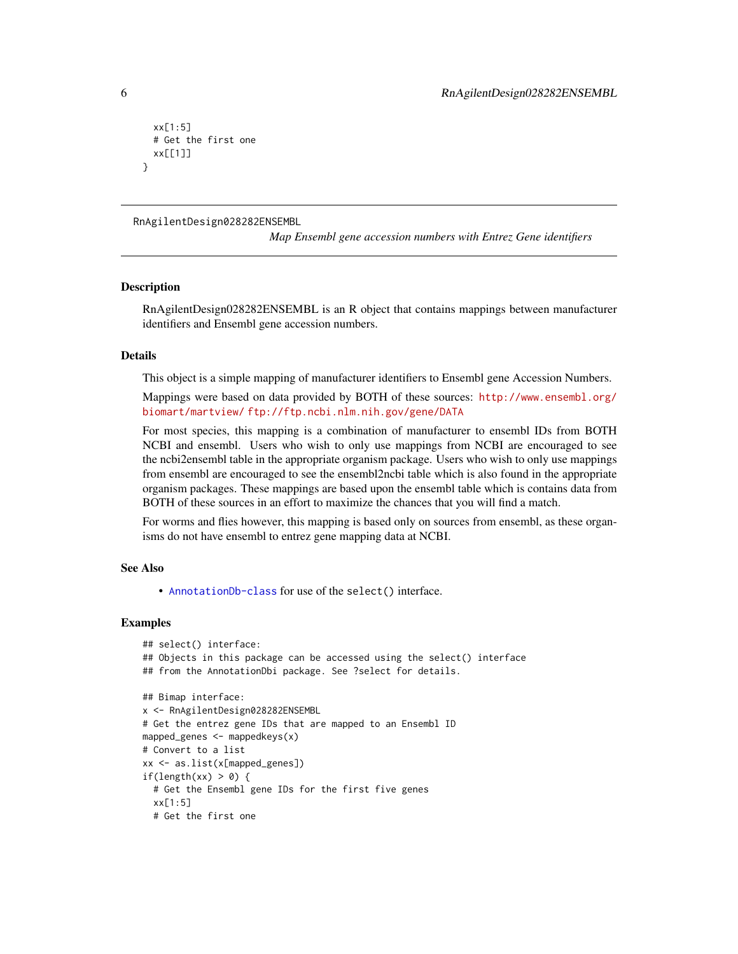```
xx[1:5]
 # Get the first one
 xx[[1]]
}
```
RnAgilentDesign028282ENSEMBL

*Map Ensembl gene accession numbers with Entrez Gene identifiers*

#### **Description**

RnAgilentDesign028282ENSEMBL is an R object that contains mappings between manufacturer identifiers and Ensembl gene accession numbers.

#### Details

This object is a simple mapping of manufacturer identifiers to Ensembl gene Accession Numbers.

Mappings were based on data provided by BOTH of these sources: [http://www.ensembl.org/](http://www.ensembl.org/biomart/martview/) [biomart/martview/](http://www.ensembl.org/biomart/martview/) <ftp://ftp.ncbi.nlm.nih.gov/gene/DATA>

For most species, this mapping is a combination of manufacturer to ensembl IDs from BOTH NCBI and ensembl. Users who wish to only use mappings from NCBI are encouraged to see the ncbi2ensembl table in the appropriate organism package. Users who wish to only use mappings from ensembl are encouraged to see the ensembl2ncbi table which is also found in the appropriate organism packages. These mappings are based upon the ensembl table which is contains data from BOTH of these sources in an effort to maximize the chances that you will find a match.

For worms and flies however, this mapping is based only on sources from ensembl, as these organisms do not have ensembl to entrez gene mapping data at NCBI.

#### See Also

• [AnnotationDb-class](#page-0-0) for use of the select() interface.

```
## select() interface:
## Objects in this package can be accessed using the select() interface
## from the AnnotationDbi package. See ?select for details.
## Bimap interface:
x <- RnAgilentDesign028282ENSEMBL
# Get the entrez gene IDs that are mapped to an Ensembl ID
mapped_genes <- mappedkeys(x)
# Convert to a list
xx <- as.list(x[mapped_genes])
if(length(xx) > 0) {
 # Get the Ensembl gene IDs for the first five genes
 xx[1:5]
 # Get the first one
```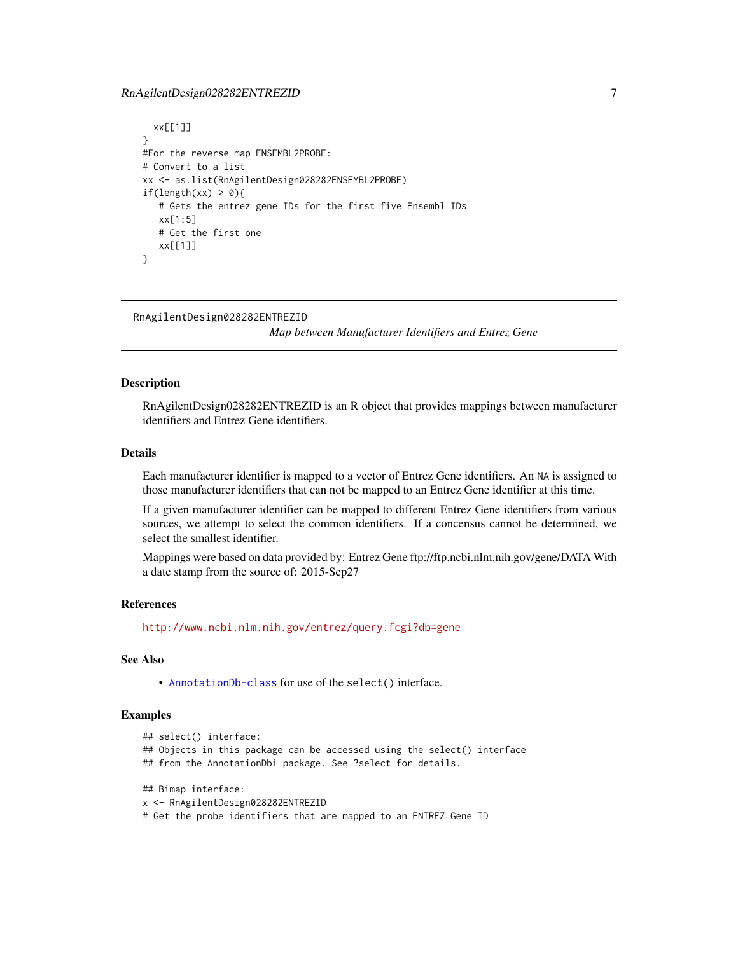# <span id="page-6-0"></span>RnAgilentDesign028282ENTREZID 7

```
xx[[1]]
}
#For the reverse map ENSEMBL2PROBE:
# Convert to a list
xx <- as.list(RnAgilentDesign028282ENSEMBL2PROBE)
if(length(xx) > 0){
  # Gets the entrez gene IDs for the first five Ensembl IDs
  xx[1:5]
  # Get the first one
  xx[[1]]
}
```
RnAgilentDesign028282ENTREZID

*Map between Manufacturer Identifiers and Entrez Gene*

## Description

RnAgilentDesign028282ENTREZID is an R object that provides mappings between manufacturer identifiers and Entrez Gene identifiers.

## Details

Each manufacturer identifier is mapped to a vector of Entrez Gene identifiers. An NA is assigned to those manufacturer identifiers that can not be mapped to an Entrez Gene identifier at this time.

If a given manufacturer identifier can be mapped to different Entrez Gene identifiers from various sources, we attempt to select the common identifiers. If a concensus cannot be determined, we select the smallest identifier.

Mappings were based on data provided by: Entrez Gene ftp://ftp.ncbi.nlm.nih.gov/gene/DATA With a date stamp from the source of: 2015-Sep27

## References

<http://www.ncbi.nlm.nih.gov/entrez/query.fcgi?db=gene>

## See Also

• [AnnotationDb-class](#page-0-0) for use of the select() interface.

## Examples

```
## select() interface:
```
- ## Objects in this package can be accessed using the select() interface
- ## from the AnnotationDbi package. See ?select for details.

```
## Bimap interface:
```

```
x <- RnAgilentDesign028282ENTREZID
```
# Get the probe identifiers that are mapped to an ENTREZ Gene ID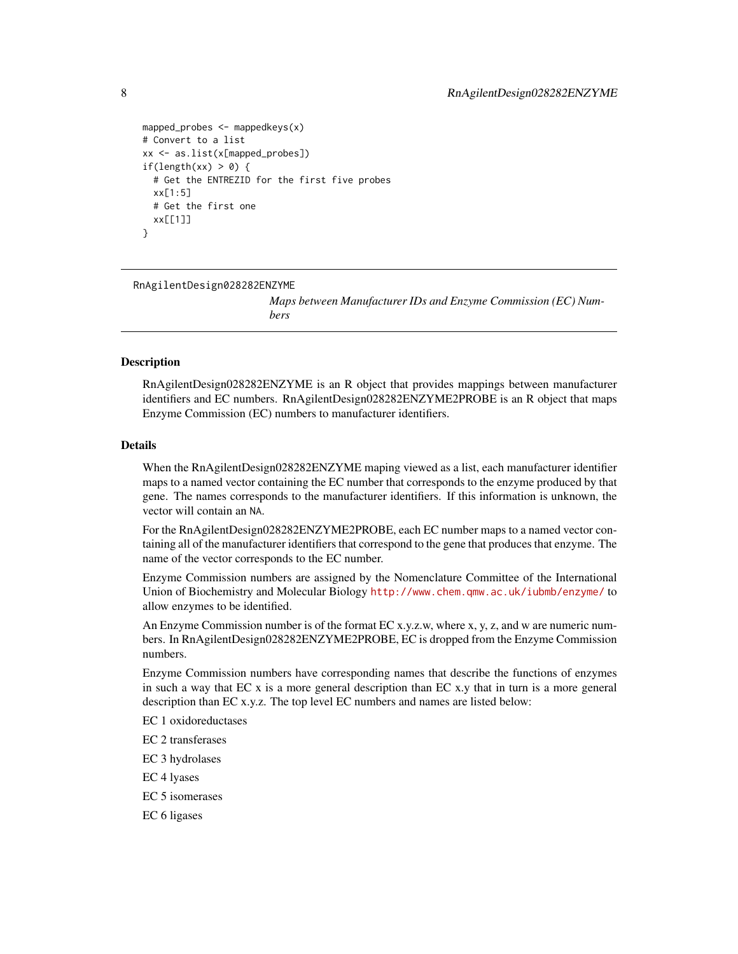```
mapped_probes <- mappedkeys(x)
# Convert to a list
xx <- as.list(x[mapped_probes])
if(length(xx) > 0) {
 # Get the ENTREZID for the first five probes
 xx[1:5]
 # Get the first one
 xx[[1]]
}
```
RnAgilentDesign028282ENZYME

*Maps between Manufacturer IDs and Enzyme Commission (EC) Numbers*

#### Description

RnAgilentDesign028282ENZYME is an R object that provides mappings between manufacturer identifiers and EC numbers. RnAgilentDesign028282ENZYME2PROBE is an R object that maps Enzyme Commission (EC) numbers to manufacturer identifiers.

#### Details

When the RnAgilentDesign028282ENZYME maping viewed as a list, each manufacturer identifier maps to a named vector containing the EC number that corresponds to the enzyme produced by that gene. The names corresponds to the manufacturer identifiers. If this information is unknown, the vector will contain an NA.

For the RnAgilentDesign028282ENZYME2PROBE, each EC number maps to a named vector containing all of the manufacturer identifiers that correspond to the gene that produces that enzyme. The name of the vector corresponds to the EC number.

Enzyme Commission numbers are assigned by the Nomenclature Committee of the International Union of Biochemistry and Molecular Biology <http://www.chem.qmw.ac.uk/iubmb/enzyme/> to allow enzymes to be identified.

An Enzyme Commission number is of the format EC x.y.z.w, where x, y, z, and w are numeric numbers. In RnAgilentDesign028282ENZYME2PROBE, EC is dropped from the Enzyme Commission numbers.

Enzyme Commission numbers have corresponding names that describe the functions of enzymes in such a way that  $ECx$  is a more general description than  $ECx$ . That in turn is a more general description than EC x.y.z. The top level EC numbers and names are listed below:

EC 1 oxidoreductases

EC 2 transferases

EC 3 hydrolases

EC 4 lyases

EC 5 isomerases

EC 6 ligases

<span id="page-7-0"></span>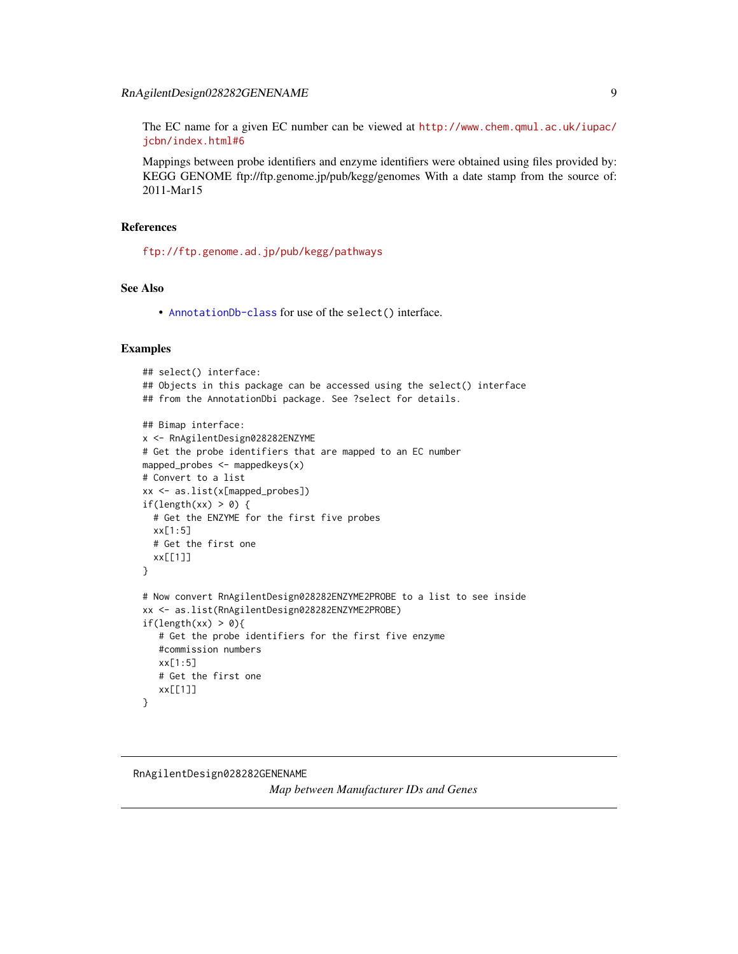# <span id="page-8-0"></span>RnAgilentDesign028282GENENAME 9

The EC name for a given EC number can be viewed at [http://www.chem.qmul.ac.uk/iupac/](http://www.chem.qmul.ac.uk/iupac/jcbn/index.html#6) [jcbn/index.html#6](http://www.chem.qmul.ac.uk/iupac/jcbn/index.html#6)

Mappings between probe identifiers and enzyme identifiers were obtained using files provided by: KEGG GENOME ftp://ftp.genome.jp/pub/kegg/genomes With a date stamp from the source of: 2011-Mar15

# References

<ftp://ftp.genome.ad.jp/pub/kegg/pathways>

# See Also

• [AnnotationDb-class](#page-0-0) for use of the select() interface.

#### Examples

```
## select() interface:
## Objects in this package can be accessed using the select() interface
## from the AnnotationDbi package. See ?select for details.
## Bimap interface:
x <- RnAgilentDesign028282ENZYME
# Get the probe identifiers that are mapped to an EC number
mapped_probes <- mappedkeys(x)
# Convert to a list
xx <- as.list(x[mapped_probes])
if(length(xx) > 0) {
  # Get the ENZYME for the first five probes
  xx[1:5]
  # Get the first one
  xx[[1]]
}
# Now convert RnAgilentDesign028282ENZYME2PROBE to a list to see inside
xx <- as.list(RnAgilentDesign028282ENZYME2PROBE)
if(length(xx) > 0){
   # Get the probe identifiers for the first five enzyme
   #commission numbers
   xx[1:5]
   # Get the first one
   xx[[1]]
}
```
# RnAgilentDesign028282GENENAME *Map between Manufacturer IDs and Genes*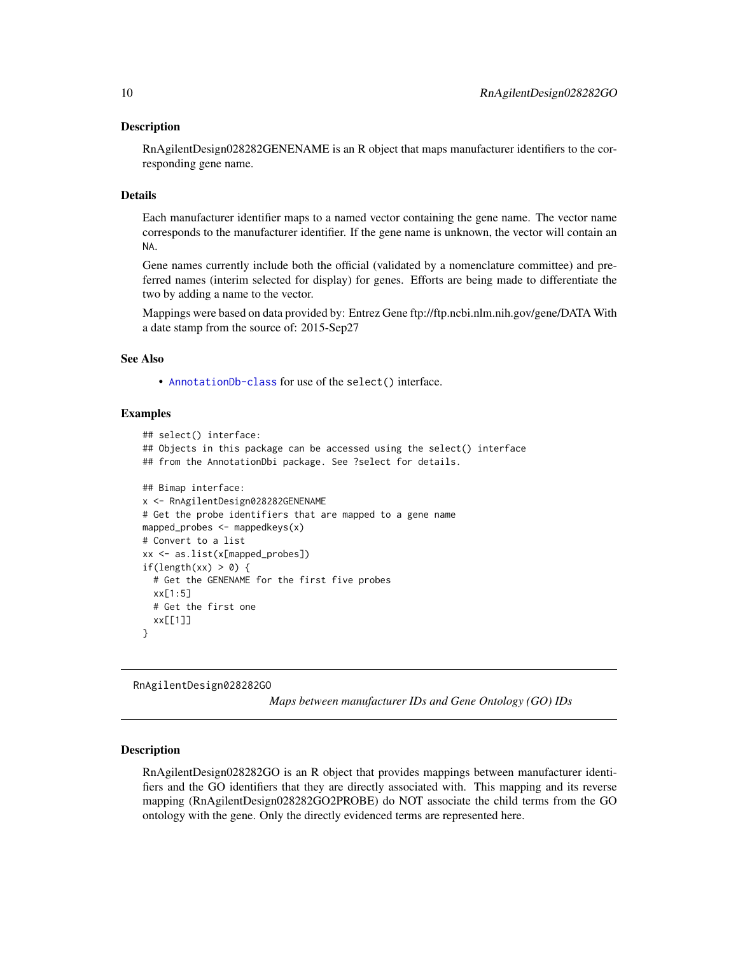#### <span id="page-9-1"></span>Description

RnAgilentDesign028282GENENAME is an R object that maps manufacturer identifiers to the corresponding gene name.

#### Details

Each manufacturer identifier maps to a named vector containing the gene name. The vector name corresponds to the manufacturer identifier. If the gene name is unknown, the vector will contain an NA.

Gene names currently include both the official (validated by a nomenclature committee) and preferred names (interim selected for display) for genes. Efforts are being made to differentiate the two by adding a name to the vector.

Mappings were based on data provided by: Entrez Gene ftp://ftp.ncbi.nlm.nih.gov/gene/DATA With a date stamp from the source of: 2015-Sep27

## See Also

• [AnnotationDb-class](#page-0-0) for use of the select() interface.

#### Examples

```
## select() interface:
## Objects in this package can be accessed using the select() interface
## from the AnnotationDbi package. See ?select for details.
## Bimap interface:
x <- RnAgilentDesign028282GENENAME
# Get the probe identifiers that are mapped to a gene name
mapped_probes \leq mappedkeys(x)
# Convert to a list
xx <- as.list(x[mapped_probes])
if(length(xx) > 0) {
 # Get the GENENAME for the first five probes
 xx[1:5]
 # Get the first one
 xx[[1]]
}
```
RnAgilentDesign028282GO

*Maps between manufacturer IDs and Gene Ontology (GO) IDs*

## <span id="page-9-0"></span>Description

RnAgilentDesign028282GO is an R object that provides mappings between manufacturer identifiers and the GO identifiers that they are directly associated with. This mapping and its reverse mapping (RnAgilentDesign028282GO2PROBE) do NOT associate the child terms from the GO ontology with the gene. Only the directly evidenced terms are represented here.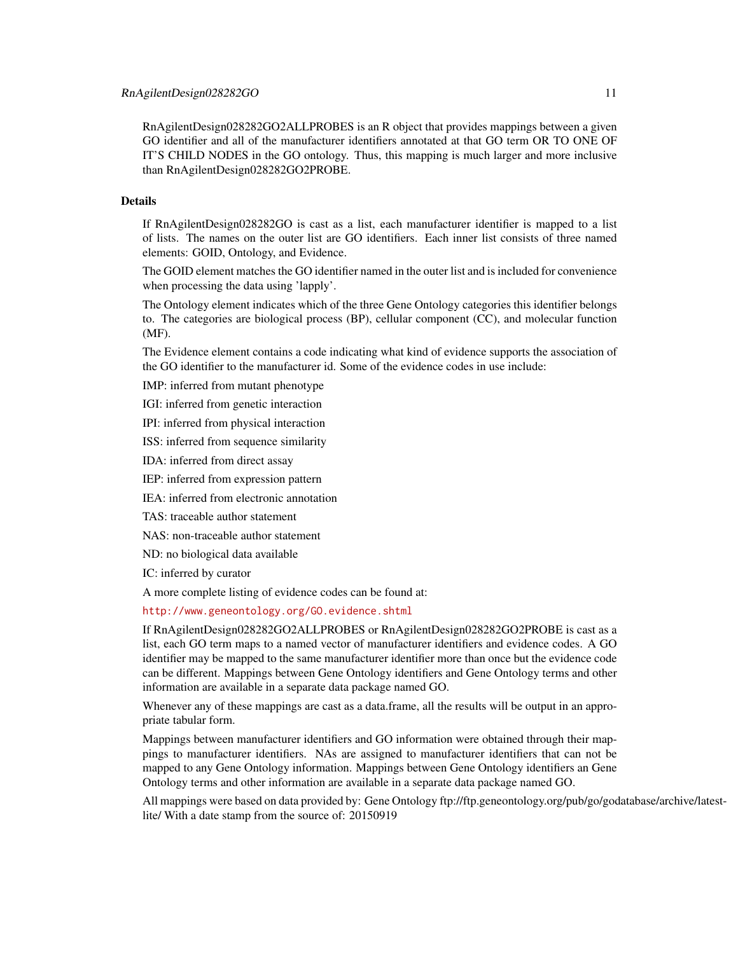RnAgilentDesign028282GO2ALLPROBES is an R object that provides mappings between a given GO identifier and all of the manufacturer identifiers annotated at that GO term OR TO ONE OF IT'S CHILD NODES in the GO ontology. Thus, this mapping is much larger and more inclusive than RnAgilentDesign028282GO2PROBE.

## Details

If RnAgilentDesign028282GO is cast as a list, each manufacturer identifier is mapped to a list of lists. The names on the outer list are GO identifiers. Each inner list consists of three named elements: GOID, Ontology, and Evidence.

The GOID element matches the GO identifier named in the outer list and is included for convenience when processing the data using 'lapply'.

The Ontology element indicates which of the three Gene Ontology categories this identifier belongs to. The categories are biological process (BP), cellular component (CC), and molecular function (MF).

The Evidence element contains a code indicating what kind of evidence supports the association of the GO identifier to the manufacturer id. Some of the evidence codes in use include:

IMP: inferred from mutant phenotype

IGI: inferred from genetic interaction

IPI: inferred from physical interaction

ISS: inferred from sequence similarity

IDA: inferred from direct assay

IEP: inferred from expression pattern

IEA: inferred from electronic annotation

TAS: traceable author statement

NAS: non-traceable author statement

ND: no biological data available

IC: inferred by curator

A more complete listing of evidence codes can be found at:

<http://www.geneontology.org/GO.evidence.shtml>

If RnAgilentDesign028282GO2ALLPROBES or RnAgilentDesign028282GO2PROBE is cast as a list, each GO term maps to a named vector of manufacturer identifiers and evidence codes. A GO identifier may be mapped to the same manufacturer identifier more than once but the evidence code can be different. Mappings between Gene Ontology identifiers and Gene Ontology terms and other information are available in a separate data package named GO.

Whenever any of these mappings are cast as a data.frame, all the results will be output in an appropriate tabular form.

Mappings between manufacturer identifiers and GO information were obtained through their mappings to manufacturer identifiers. NAs are assigned to manufacturer identifiers that can not be mapped to any Gene Ontology information. Mappings between Gene Ontology identifiers an Gene Ontology terms and other information are available in a separate data package named GO.

All mappings were based on data provided by: Gene Ontology ftp://ftp.geneontology.org/pub/go/godatabase/archive/latestlite/ With a date stamp from the source of: 20150919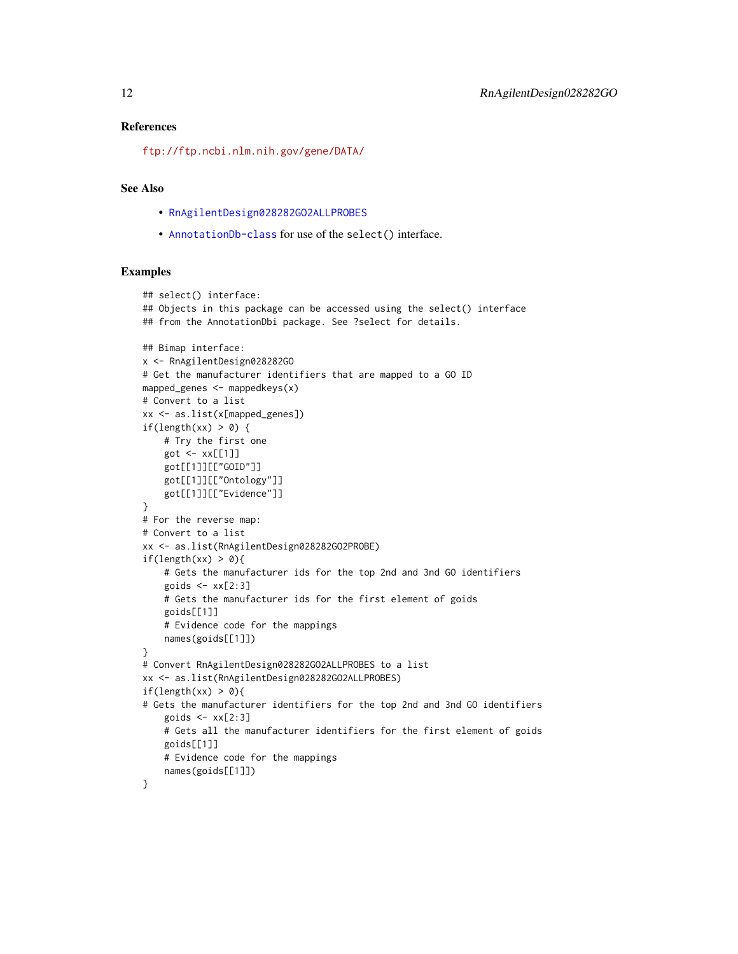#### <span id="page-11-0"></span>References

<ftp://ftp.ncbi.nlm.nih.gov/gene/DATA/>

## See Also

- [RnAgilentDesign028282GO2ALLPROBES](#page-9-0)
- [AnnotationDb-class](#page-0-0) for use of the select() interface.

```
## select() interface:
## Objects in this package can be accessed using the select() interface
## from the AnnotationDbi package. See ?select for details.
## Bimap interface:
x <- RnAgilentDesign028282GO
# Get the manufacturer identifiers that are mapped to a GO ID
mapped_genes <- mappedkeys(x)
# Convert to a list
xx <- as.list(x[mapped_genes])
if(length(xx) > 0) {
    # Try the first one
   got \leftarrow xx[[1]]got[[1]][["GOID"]]
    got[[1]][["Ontology"]]
    got[[1]][["Evidence"]]
}
# For the reverse map:
# Convert to a list
xx <- as.list(RnAgilentDesign028282GO2PROBE)
if(length(xx) > 0){
    # Gets the manufacturer ids for the top 2nd and 3nd GO identifiers
    goids \leq -x \times [2:3]# Gets the manufacturer ids for the first element of goids
   goids[[1]]
    # Evidence code for the mappings
   names(goids[[1]])
}
# Convert RnAgilentDesign028282GO2ALLPROBES to a list
xx <- as.list(RnAgilentDesign028282GO2ALLPROBES)
if(length(xx) > 0){
# Gets the manufacturer identifiers for the top 2nd and 3nd GO identifiers
    goids \leq xx[2:3]# Gets all the manufacturer identifiers for the first element of goids
    goids[[1]]
    # Evidence code for the mappings
   names(goids[[1]])
}
```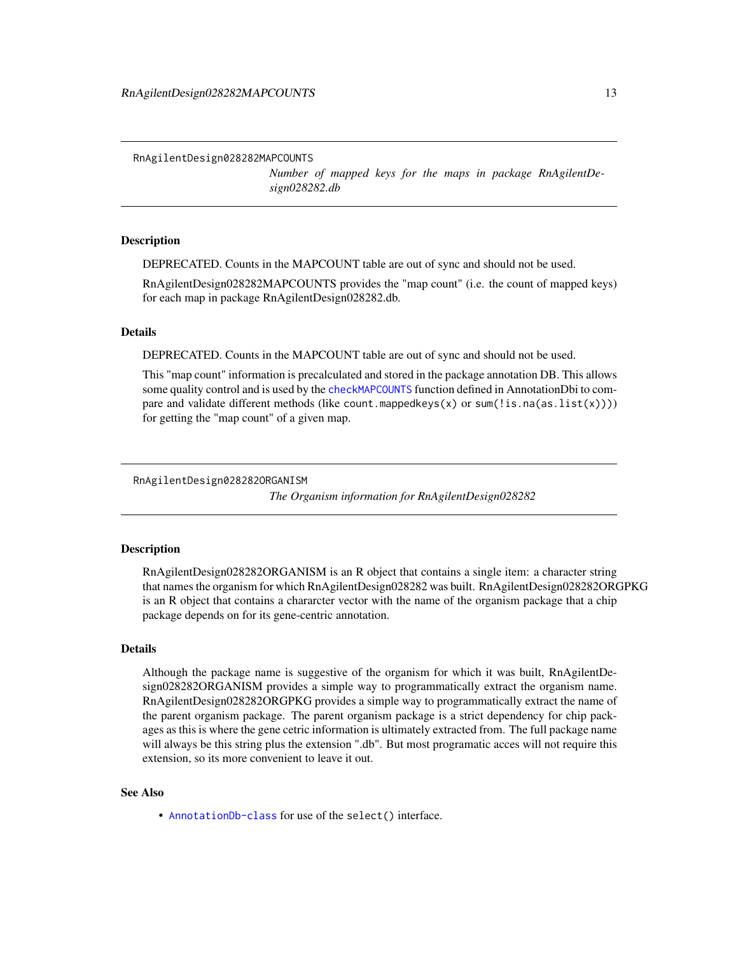<span id="page-12-0"></span>RnAgilentDesign028282MAPCOUNTS

*Number of mapped keys for the maps in package RnAgilentDesign028282.db*

## Description

DEPRECATED. Counts in the MAPCOUNT table are out of sync and should not be used.

RnAgilentDesign028282MAPCOUNTS provides the "map count" (i.e. the count of mapped keys) for each map in package RnAgilentDesign028282.db.

## Details

DEPRECATED. Counts in the MAPCOUNT table are out of sync and should not be used.

This "map count" information is precalculated and stored in the package annotation DB. This allows some quality control and is used by the [checkMAPCOUNTS](#page-0-0) function defined in AnnotationDbi to compare and validate different methods (like count.mappedkeys $(x)$  or sum(!is.na(as.list(x)))) for getting the "map count" of a given map.

RnAgilentDesign028282ORGANISM

*The Organism information for RnAgilentDesign028282*

## Description

RnAgilentDesign028282ORGANISM is an R object that contains a single item: a character string that names the organism for which RnAgilentDesign028282 was built. RnAgilentDesign028282ORGPKG is an R object that contains a chararcter vector with the name of the organism package that a chip package depends on for its gene-centric annotation.

## Details

Although the package name is suggestive of the organism for which it was built, RnAgilentDesign028282ORGANISM provides a simple way to programmatically extract the organism name. RnAgilentDesign028282ORGPKG provides a simple way to programmatically extract the name of the parent organism package. The parent organism package is a strict dependency for chip packages as this is where the gene cetric information is ultimately extracted from. The full package name will always be this string plus the extension ".db". But most programatic acces will not require this extension, so its more convenient to leave it out.

## See Also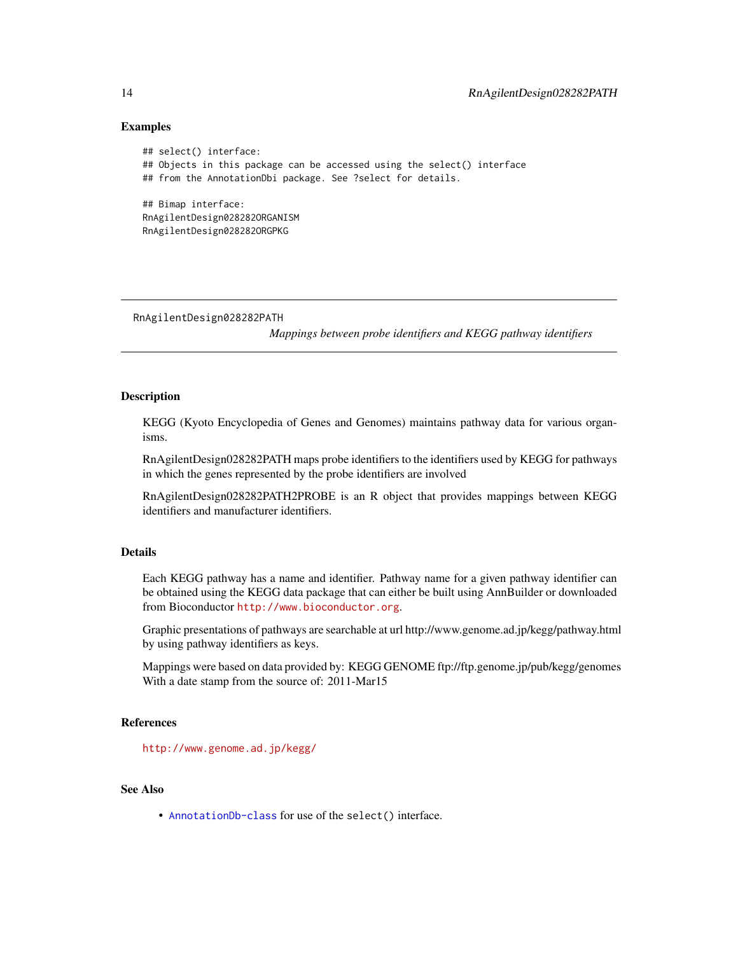## Examples

```
## select() interface:
## Objects in this package can be accessed using the select() interface
## from the AnnotationDbi package. See ?select for details.
## Bimap interface:
RnAgilentDesign028282ORGANISM
RnAgilentDesign028282ORGPKG
```
RnAgilentDesign028282PATH

*Mappings between probe identifiers and KEGG pathway identifiers*

# **Description**

KEGG (Kyoto Encyclopedia of Genes and Genomes) maintains pathway data for various organisms.

RnAgilentDesign028282PATH maps probe identifiers to the identifiers used by KEGG for pathways in which the genes represented by the probe identifiers are involved

RnAgilentDesign028282PATH2PROBE is an R object that provides mappings between KEGG identifiers and manufacturer identifiers.

## Details

Each KEGG pathway has a name and identifier. Pathway name for a given pathway identifier can be obtained using the KEGG data package that can either be built using AnnBuilder or downloaded from Bioconductor <http://www.bioconductor.org>.

Graphic presentations of pathways are searchable at url http://www.genome.ad.jp/kegg/pathway.html by using pathway identifiers as keys.

Mappings were based on data provided by: KEGG GENOME ftp://ftp.genome.jp/pub/kegg/genomes With a date stamp from the source of: 2011-Mar15

# References

<http://www.genome.ad.jp/kegg/>

# See Also

<span id="page-13-0"></span>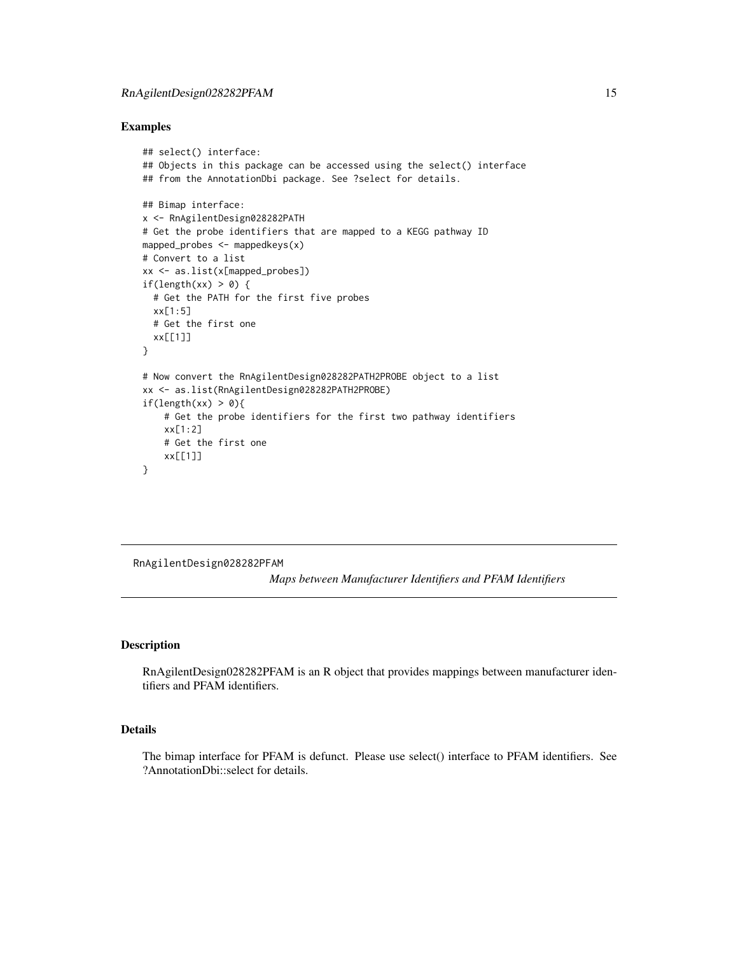## <span id="page-14-0"></span>Examples

```
## select() interface:
## Objects in this package can be accessed using the select() interface
## from the AnnotationDbi package. See ?select for details.
## Bimap interface:
x <- RnAgilentDesign028282PATH
# Get the probe identifiers that are mapped to a KEGG pathway ID
mapped_probes <- mappedkeys(x)
# Convert to a list
xx <- as.list(x[mapped_probes])
if(length(xx) > 0) {
  # Get the PATH for the first five probes
  xx[1:5]
  # Get the first one
  xx[[1]]
}
# Now convert the RnAgilentDesign028282PATH2PROBE object to a list
xx <- as.list(RnAgilentDesign028282PATH2PROBE)
if(length(xx) > 0){
    # Get the probe identifiers for the first two pathway identifiers
    xx[1:2]
    # Get the first one
    xx[[1]]
}
```
RnAgilentDesign028282PFAM

*Maps between Manufacturer Identifiers and PFAM Identifiers*

## Description

RnAgilentDesign028282PFAM is an R object that provides mappings between manufacturer identifiers and PFAM identifiers.

## Details

The bimap interface for PFAM is defunct. Please use select() interface to PFAM identifiers. See ?AnnotationDbi::select for details.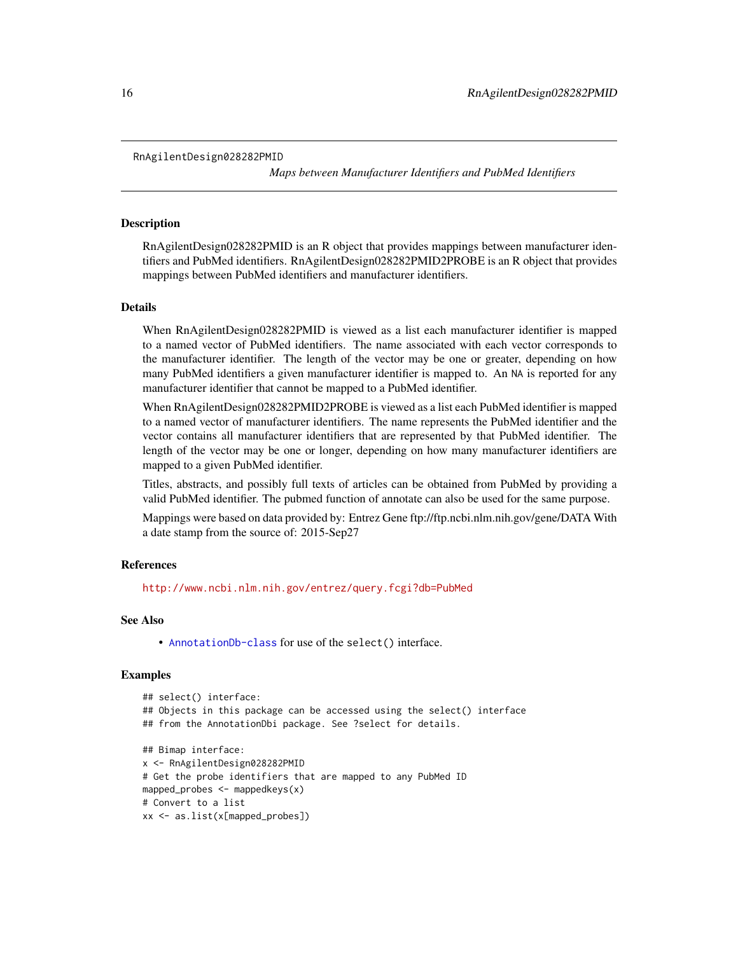```
RnAgilentDesign028282PMID
```
*Maps between Manufacturer Identifiers and PubMed Identifiers*

## Description

RnAgilentDesign028282PMID is an R object that provides mappings between manufacturer identifiers and PubMed identifiers. RnAgilentDesign028282PMID2PROBE is an R object that provides mappings between PubMed identifiers and manufacturer identifiers.

#### Details

When RnAgilentDesign028282PMID is viewed as a list each manufacturer identifier is mapped to a named vector of PubMed identifiers. The name associated with each vector corresponds to the manufacturer identifier. The length of the vector may be one or greater, depending on how many PubMed identifiers a given manufacturer identifier is mapped to. An NA is reported for any manufacturer identifier that cannot be mapped to a PubMed identifier.

When RnAgilentDesign028282PMID2PROBE is viewed as a list each PubMed identifier is mapped to a named vector of manufacturer identifiers. The name represents the PubMed identifier and the vector contains all manufacturer identifiers that are represented by that PubMed identifier. The length of the vector may be one or longer, depending on how many manufacturer identifiers are mapped to a given PubMed identifier.

Titles, abstracts, and possibly full texts of articles can be obtained from PubMed by providing a valid PubMed identifier. The pubmed function of annotate can also be used for the same purpose.

Mappings were based on data provided by: Entrez Gene ftp://ftp.ncbi.nlm.nih.gov/gene/DATA With a date stamp from the source of: 2015-Sep27

#### References

<http://www.ncbi.nlm.nih.gov/entrez/query.fcgi?db=PubMed>

#### See Also

• [AnnotationDb-class](#page-0-0) for use of the select() interface.

```
## select() interface:
## Objects in this package can be accessed using the select() interface
## from the AnnotationDbi package. See ?select for details.
## Bimap interface:
x <- RnAgilentDesign028282PMID
# Get the probe identifiers that are mapped to any PubMed ID
mapped_probes <- mappedkeys(x)
# Convert to a list
xx <- as.list(x[mapped_probes])
```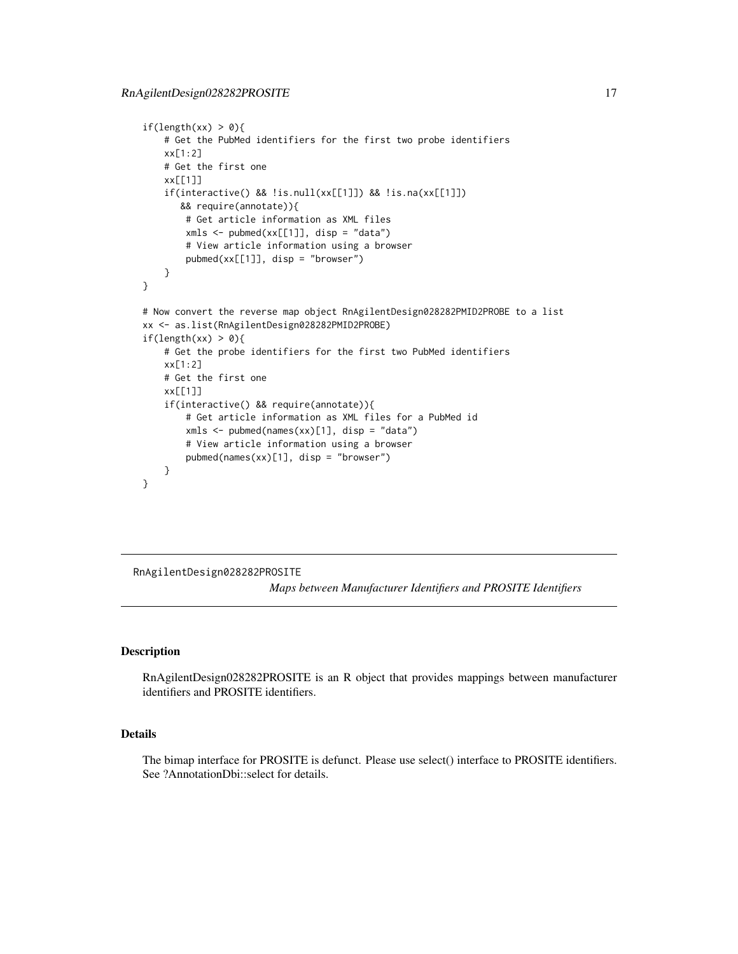```
if(length(xx) > 0){
    # Get the PubMed identifiers for the first two probe identifiers
   xx[1:2]
   # Get the first one
   xx[[1]]
    if(interactive() && !is.null(xx[[1]]) && !is.na(xx[[1]])
      && require(annotate)){
       # Get article information as XML files
       xmls < -pubmed(xx[[1]], disp = "data")# View article information using a browser
       pubmed(xx[[1]], disp = "browser")
    }
}
# Now convert the reverse map object RnAgilentDesign028282PMID2PROBE to a list
xx <- as.list(RnAgilentDesign028282PMID2PROBE)
if(length(xx) > 0){
    # Get the probe identifiers for the first two PubMed identifiers
   xx[1:2]
   # Get the first one
   xx[[1]]
    if(interactive() && require(annotate)){
       # Get article information as XML files for a PubMed id
       xmls <- pubmed(names(xx)[1], disp = "data")
       # View article information using a browser
       pubmed(names(xx)[1], disp = "browser")
   }
}
```
RnAgilentDesign028282PROSITE

*Maps between Manufacturer Identifiers and PROSITE Identifiers*

#### Description

RnAgilentDesign028282PROSITE is an R object that provides mappings between manufacturer identifiers and PROSITE identifiers.

# Details

The bimap interface for PROSITE is defunct. Please use select() interface to PROSITE identifiers. See ?AnnotationDbi::select for details.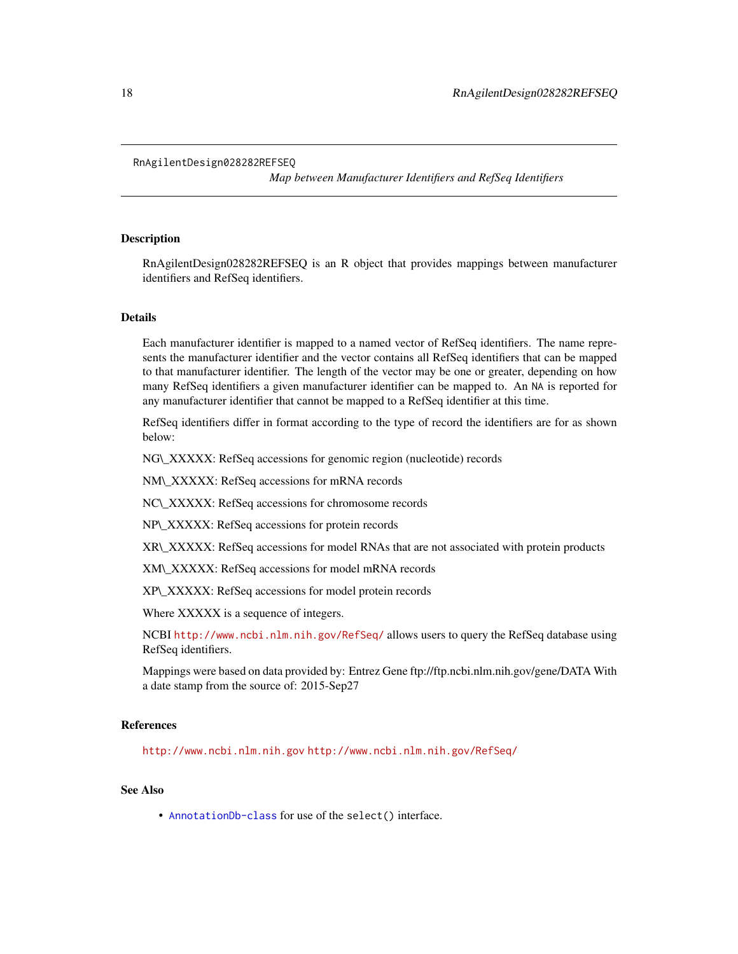#### <span id="page-17-0"></span>RnAgilentDesign028282REFSEQ

*Map between Manufacturer Identifiers and RefSeq Identifiers*

## Description

RnAgilentDesign028282REFSEQ is an R object that provides mappings between manufacturer identifiers and RefSeq identifiers.

## Details

Each manufacturer identifier is mapped to a named vector of RefSeq identifiers. The name represents the manufacturer identifier and the vector contains all RefSeq identifiers that can be mapped to that manufacturer identifier. The length of the vector may be one or greater, depending on how many RefSeq identifiers a given manufacturer identifier can be mapped to. An NA is reported for any manufacturer identifier that cannot be mapped to a RefSeq identifier at this time.

RefSeq identifiers differ in format according to the type of record the identifiers are for as shown below:

NG\\_XXXXX: RefSeq accessions for genomic region (nucleotide) records

NM\\_XXXXX: RefSeq accessions for mRNA records

NC\\_XXXXX: RefSeq accessions for chromosome records

NP\\_XXXXX: RefSeq accessions for protein records

XR\\_XXXXX: RefSeq accessions for model RNAs that are not associated with protein products

XM\\_XXXXX: RefSeq accessions for model mRNA records

XP\\_XXXXX: RefSeq accessions for model protein records

Where XXXXX is a sequence of integers.

NCBI <http://www.ncbi.nlm.nih.gov/RefSeq/> allows users to query the RefSeq database using RefSeq identifiers.

Mappings were based on data provided by: Entrez Gene ftp://ftp.ncbi.nlm.nih.gov/gene/DATA With a date stamp from the source of: 2015-Sep27

#### References

<http://www.ncbi.nlm.nih.gov> <http://www.ncbi.nlm.nih.gov/RefSeq/>

## See Also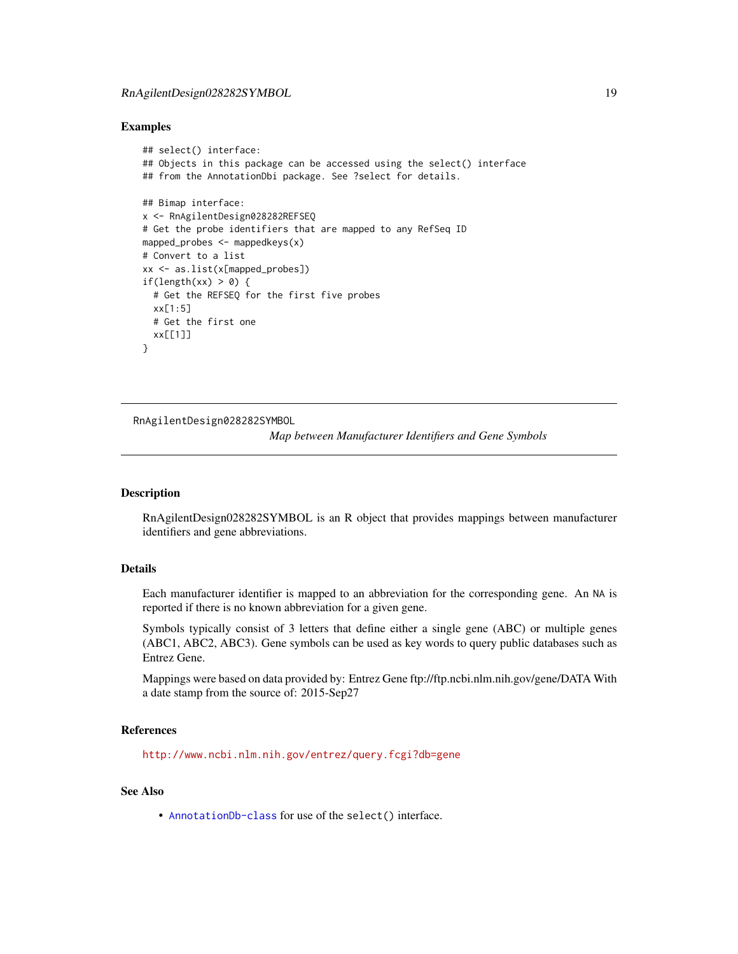# <span id="page-18-0"></span>RnAgilentDesign028282SYMBOL 19

## Examples

```
## select() interface:
## Objects in this package can be accessed using the select() interface
## from the AnnotationDbi package. See ?select for details.
## Bimap interface:
x <- RnAgilentDesign028282REFSEQ
# Get the probe identifiers that are mapped to any RefSeq ID
mapped_probes <- mappedkeys(x)
# Convert to a list
xx <- as.list(x[mapped_probes])
if(length(xx) > 0) {
  # Get the REFSEQ for the first five probes
  xx[1:5]
  # Get the first one
  xx[[1]]
}
```
RnAgilentDesign028282SYMBOL

*Map between Manufacturer Identifiers and Gene Symbols*

## Description

RnAgilentDesign028282SYMBOL is an R object that provides mappings between manufacturer identifiers and gene abbreviations.

## Details

Each manufacturer identifier is mapped to an abbreviation for the corresponding gene. An NA is reported if there is no known abbreviation for a given gene.

Symbols typically consist of 3 letters that define either a single gene (ABC) or multiple genes (ABC1, ABC2, ABC3). Gene symbols can be used as key words to query public databases such as Entrez Gene.

Mappings were based on data provided by: Entrez Gene ftp://ftp.ncbi.nlm.nih.gov/gene/DATA With a date stamp from the source of: 2015-Sep27

## References

<http://www.ncbi.nlm.nih.gov/entrez/query.fcgi?db=gene>

## See Also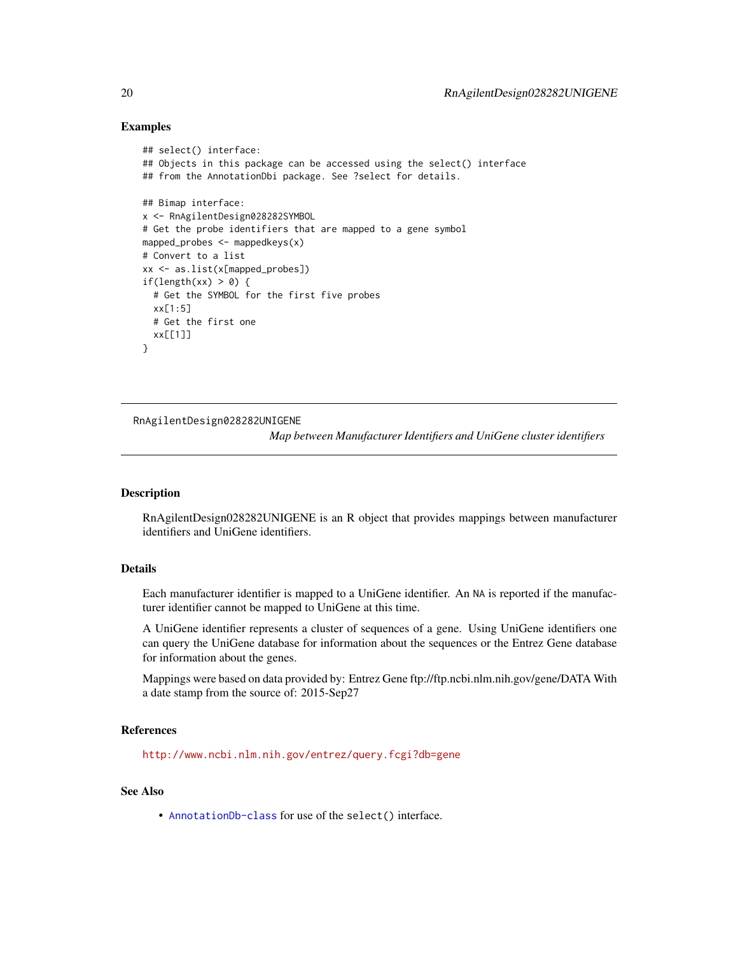## Examples

```
## select() interface:
## Objects in this package can be accessed using the select() interface
## from the AnnotationDbi package. See ?select for details.
## Bimap interface:
x <- RnAgilentDesign028282SYMBOL
# Get the probe identifiers that are mapped to a gene symbol
mapped_probes <- mappedkeys(x)
# Convert to a list
xx <- as.list(x[mapped_probes])
if(length(xx) > 0) {
  # Get the SYMBOL for the first five probes
  xx[1:5]
  # Get the first one
  xx[[1]]
}
```
RnAgilentDesign028282UNIGENE

*Map between Manufacturer Identifiers and UniGene cluster identifiers*

## Description

RnAgilentDesign028282UNIGENE is an R object that provides mappings between manufacturer identifiers and UniGene identifiers.

## Details

Each manufacturer identifier is mapped to a UniGene identifier. An NA is reported if the manufacturer identifier cannot be mapped to UniGene at this time.

A UniGene identifier represents a cluster of sequences of a gene. Using UniGene identifiers one can query the UniGene database for information about the sequences or the Entrez Gene database for information about the genes.

Mappings were based on data provided by: Entrez Gene ftp://ftp.ncbi.nlm.nih.gov/gene/DATA With a date stamp from the source of: 2015-Sep27

## References

<http://www.ncbi.nlm.nih.gov/entrez/query.fcgi?db=gene>

## See Also

<span id="page-19-0"></span>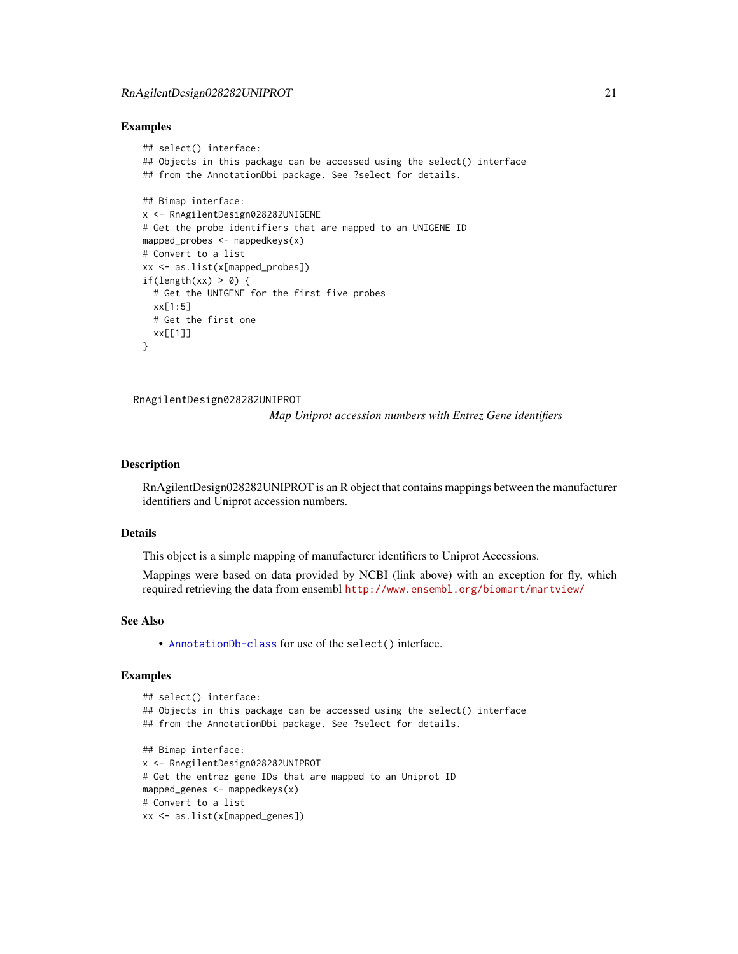## <span id="page-20-0"></span>Examples

```
## select() interface:
## Objects in this package can be accessed using the select() interface
## from the AnnotationDbi package. See ?select for details.
## Bimap interface:
x <- RnAgilentDesign028282UNIGENE
# Get the probe identifiers that are mapped to an UNIGENE ID
mapped_probes <- mappedkeys(x)
# Convert to a list
xx <- as.list(x[mapped_probes])
if(length(xx) > 0) {
  # Get the UNIGENE for the first five probes
  xx[1:5]
  # Get the first one
  xx[[1]]
}
```
RnAgilentDesign028282UNIPROT

*Map Uniprot accession numbers with Entrez Gene identifiers*

# **Description**

RnAgilentDesign028282UNIPROT is an R object that contains mappings between the manufacturer identifiers and Uniprot accession numbers.

#### Details

This object is a simple mapping of manufacturer identifiers to Uniprot Accessions.

Mappings were based on data provided by NCBI (link above) with an exception for fly, which required retrieving the data from ensembl <http://www.ensembl.org/biomart/martview/>

#### See Also

• [AnnotationDb-class](#page-0-0) for use of the select() interface.

```
## select() interface:
## Objects in this package can be accessed using the select() interface
## from the AnnotationDbi package. See ?select for details.
## Bimap interface:
x <- RnAgilentDesign028282UNIPROT
# Get the entrez gene IDs that are mapped to an Uniprot ID
mapped_genes <- mappedkeys(x)
# Convert to a list
xx <- as.list(x[mapped_genes])
```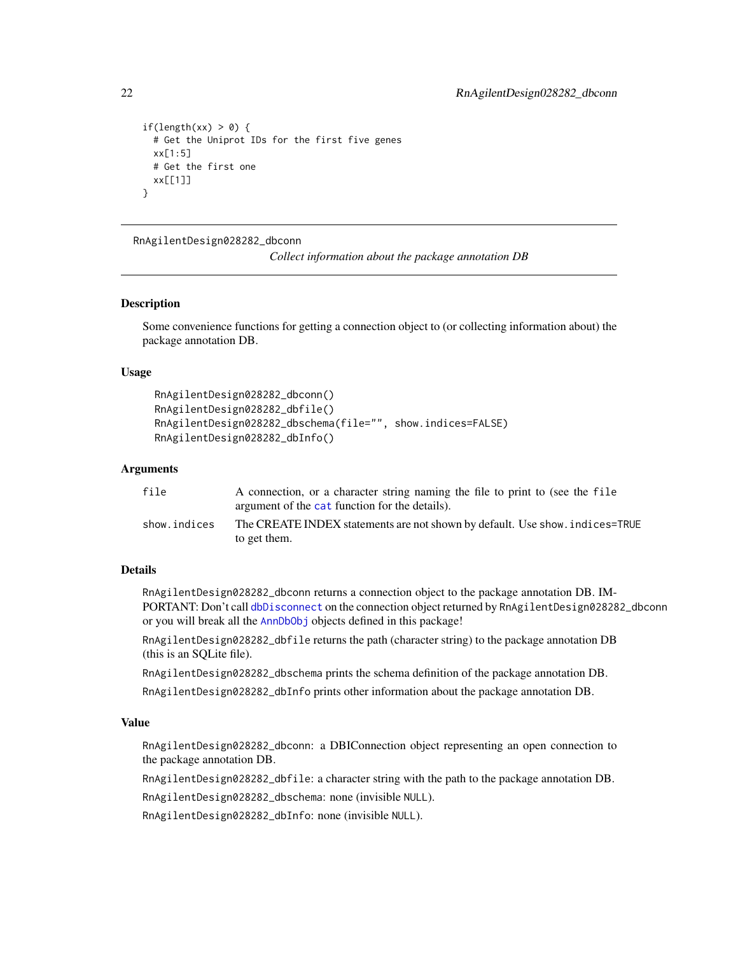```
if(length(xx) > 0) {
 # Get the Uniprot IDs for the first five genes
 xx[1:5]
 # Get the first one
 xx[[1]]
}
```
RnAgilentDesign028282\_dbconn

*Collect information about the package annotation DB*

## Description

Some convenience functions for getting a connection object to (or collecting information about) the package annotation DB.

## Usage

```
RnAgilentDesign028282_dbconn()
RnAgilentDesign028282_dbfile()
RnAgilentDesign028282_dbschema(file="", show.indices=FALSE)
RnAgilentDesign028282_dbInfo()
```
## Arguments

| file         | A connection, or a character string naming the file to print to (see the file |
|--------------|-------------------------------------------------------------------------------|
|              | argument of the cat function for the details).                                |
| show.indices | The CREATE INDEX statements are not shown by default. Use show, indices=TRUE  |
|              | to get them.                                                                  |

# Details

RnAgilentDesign028282\_dbconn returns a connection object to the package annotation DB. IM-PORTANT: Don't call [dbDisconnect](#page-0-0) on the connection object returned by RnAgilentDesign028282\_dbconn or you will break all the [AnnDbObj](#page-0-0) objects defined in this package!

RnAgilentDesign028282\_dbfile returns the path (character string) to the package annotation DB (this is an SQLite file).

RnAgilentDesign028282\_dbschema prints the schema definition of the package annotation DB.

RnAgilentDesign028282\_dbInfo prints other information about the package annotation DB.

# Value

RnAgilentDesign028282\_dbconn: a DBIConnection object representing an open connection to the package annotation DB.

RnAgilentDesign028282\_dbfile: a character string with the path to the package annotation DB.

RnAgilentDesign028282\_dbschema: none (invisible NULL).

RnAgilentDesign028282\_dbInfo: none (invisible NULL).

<span id="page-21-0"></span>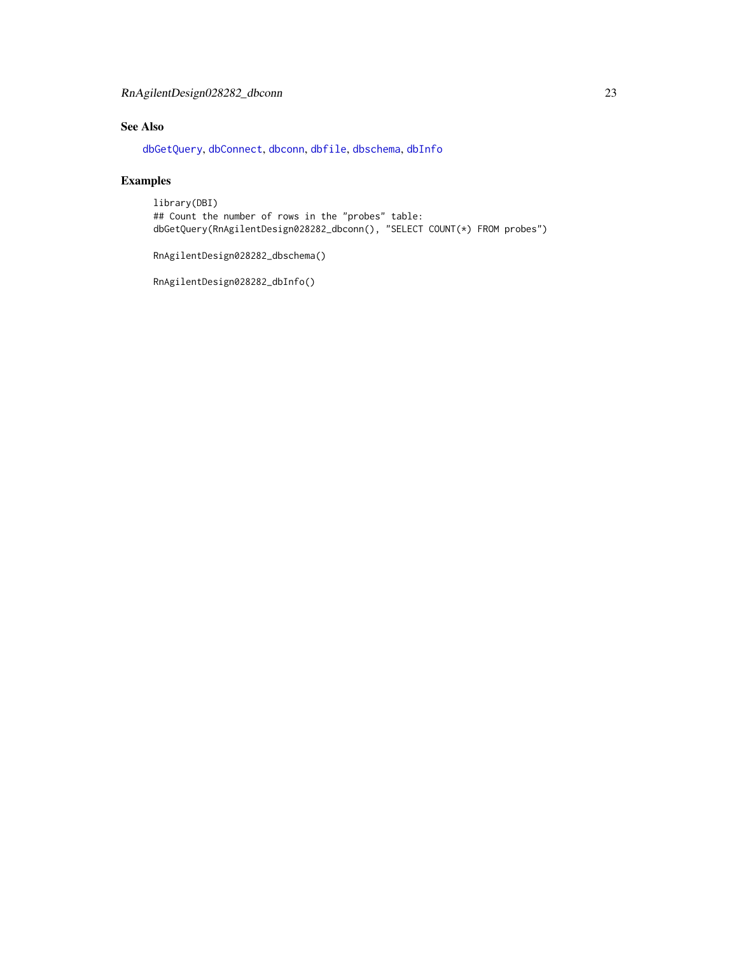# <span id="page-22-0"></span>RnAgilentDesign028282\_dbconn 23

# See Also

[dbGetQuery](#page-0-0), [dbConnect](#page-0-0), [dbconn](#page-0-0), [dbfile](#page-0-0), [dbschema](#page-0-0), [dbInfo](#page-0-0)

# Examples

library(DBI) ## Count the number of rows in the "probes" table: dbGetQuery(RnAgilentDesign028282\_dbconn(), "SELECT COUNT(\*) FROM probes")

RnAgilentDesign028282\_dbschema()

RnAgilentDesign028282\_dbInfo()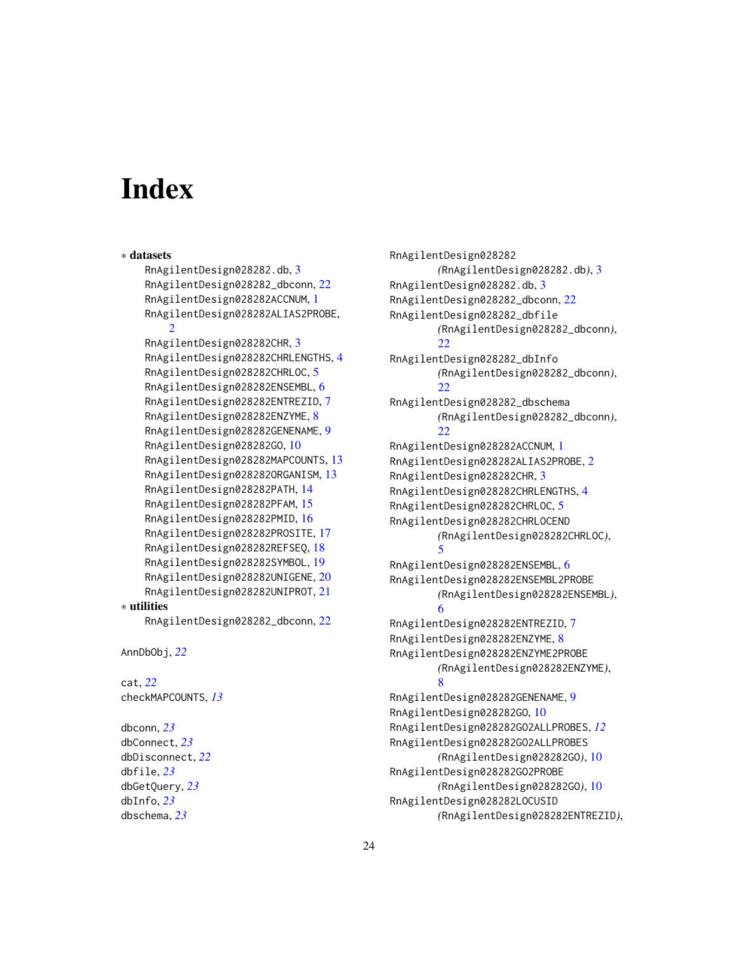# **Index**

dbschema, *[23](#page-22-0)*

```
∗ datasets
    RnAgilentDesign028282.db, 3
    RnAgilentDesign028282_dbconn, 22
    RnAgilentDesign028282ACCNUM, 1
    RnAgilentDesign028282ALIAS2PROBE,
        \mathcal{D}RnAgilentDesign028282CHR, 3
    RnAgilentDesign028282CHRLENGTHS, 4
    RnAgilentDesign028282CHRLOC, 5
    RnAgilentDesign028282ENSEMBL, 6
    RnAgilentDesign028282ENTREZID, 7
    RnAgilentDesign028282ENZYME, 8
    RnAgilentDesign028282GENENAME, 9
    RnAgilentDesign028282GO, 10
    RnAgilentDesign028282MAPCOUNTS, 13
    RnAgilentDesign028282ORGANISM, 13
    RnAgilentDesign028282PATH, 14
    RnAgilentDesign028282PFAM, 15
    RnAgilentDesign028282PMID, 16
    RnAgilentDesign028282PROSITE, 17
    RnAgilentDesign028282REFSEQ, 18
    RnAgilentDesign028282SYMBOL, 19
    RnAgilentDesign028282UNIGENE, 20
    RnAgilentDesign028282UNIPROT, 21
∗ utilities
    RnAgilentDesign028282_dbconn, 22
AnnDbObj, 22
cat, 22
checkMAPCOUNTS, 13
dbconn, 23
dbConnect, 23
dbDisconnect, 22
dbfile, 23
dbGetQuery, 23
dbInfo, 23
```
RnAgilentDesign028282 *(*RnAgilentDesign028282.db*)*, [3](#page-2-0) RnAgilentDesign028282.db, [3](#page-2-0) RnAgilentDesign028282\_dbconn, [22](#page-21-0) RnAgilentDesign028282\_dbfile *(*RnAgilentDesign028282\_dbconn*)*, [22](#page-21-0) RnAgilentDesign028282\_dbInfo *(*RnAgilentDesign028282\_dbconn*)*, [22](#page-21-0) RnAgilentDesign028282\_dbschema *(*RnAgilentDesign028282\_dbconn*)*, [22](#page-21-0) RnAgilentDesign028282ACCNUM, [1](#page-0-1) RnAgilentDesign028282ALIAS2PROBE, [2](#page-1-0) RnAgilentDesign028282CHR, [3](#page-2-0) RnAgilentDesign028282CHRLENGTHS, [4](#page-3-0) RnAgilentDesign028282CHRLOC, [5](#page-4-0) RnAgilentDesign028282CHRLOCEND *(*RnAgilentDesign028282CHRLOC*)*, [5](#page-4-0) RnAgilentDesign028282ENSEMBL, [6](#page-5-0) RnAgilentDesign028282ENSEMBL2PROBE *(*RnAgilentDesign028282ENSEMBL*)*, [6](#page-5-0) RnAgilentDesign028282ENTREZID, [7](#page-6-0) RnAgilentDesign028282ENZYME, [8](#page-7-0) RnAgilentDesign028282ENZYME2PROBE *(*RnAgilentDesign028282ENZYME*)*, [8](#page-7-0) RnAgilentDesign028282GENENAME, [9](#page-8-0) RnAgilentDesign028282GO, [10](#page-9-1) RnAgilentDesign028282GO2ALLPROBES, *[12](#page-11-0)* RnAgilentDesign028282GO2ALLPROBES *(*RnAgilentDesign028282GO*)*, [10](#page-9-1) RnAgilentDesign028282GO2PROBE *(*RnAgilentDesign028282GO*)*, [10](#page-9-1) RnAgilentDesign028282LOCUSID *(*RnAgilentDesign028282ENTREZID*)*,